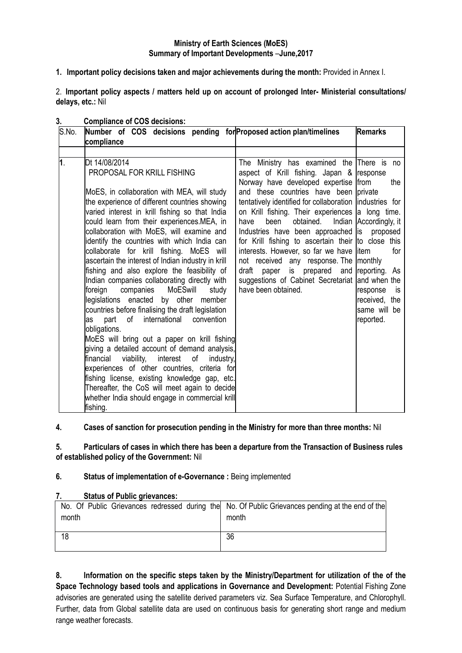## **Ministry of Earth Sciences (MoES) Summary of Important Developments** –**June,2017**

**1. Important policy decisions taken and major achievements during the month:** Provided in Annex I.

2. **Important policy aspects / matters held up on account of prolonged Inter- Ministerial consultations/ delays, etc.:** Nil

| S.No. | Number of COS decisions pending for Proposed action plan/timelines<br><b>Remarks</b><br>compliance                                                                                                                                                                                                                                                                                                                                                                                                                                                                                                                                                                                                                                                                                                                                                                                                                                                                                                                                                                                                                                |                                                                                                                                                                                                                                                                                                                                                                                                                                                                                                                                                                                                                                          |                                                                                                      |  |  |  |
|-------|-----------------------------------------------------------------------------------------------------------------------------------------------------------------------------------------------------------------------------------------------------------------------------------------------------------------------------------------------------------------------------------------------------------------------------------------------------------------------------------------------------------------------------------------------------------------------------------------------------------------------------------------------------------------------------------------------------------------------------------------------------------------------------------------------------------------------------------------------------------------------------------------------------------------------------------------------------------------------------------------------------------------------------------------------------------------------------------------------------------------------------------|------------------------------------------------------------------------------------------------------------------------------------------------------------------------------------------------------------------------------------------------------------------------------------------------------------------------------------------------------------------------------------------------------------------------------------------------------------------------------------------------------------------------------------------------------------------------------------------------------------------------------------------|------------------------------------------------------------------------------------------------------|--|--|--|
|       |                                                                                                                                                                                                                                                                                                                                                                                                                                                                                                                                                                                                                                                                                                                                                                                                                                                                                                                                                                                                                                                                                                                                   |                                                                                                                                                                                                                                                                                                                                                                                                                                                                                                                                                                                                                                          |                                                                                                      |  |  |  |
| 1.    | Dt 14/08/2014<br>PROPOSAL FOR KRILL FISHING<br>MoES, in collaboration with MEA, will study<br>the experience of different countries showing<br>varied interest in krill fishing so that India<br>could learn from their experiences.MEA, in<br>collaboration with MoES, will examine and<br>identify the countries with which India can<br>collaborate for krill fishing. MoES will<br>ascertain the interest of Indian industry in krill<br>fishing and also explore the feasibility of<br>Indian companies collaborating directly with<br>foreign<br>companies<br>MoESwill<br>study<br>legislations enacted by other member<br>countries before finalising the draft legislation<br>part<br>of<br>international<br>convention<br>as<br>obligations.<br>MoES will bring out a paper on krill fishing<br>giving a detailed account of demand analysis,<br>viability,<br>interest<br>of<br>financial<br>industry,<br>experiences of other countries, criteria for<br>fishing license, existing knowledge gap, etc.<br>Thereafter, the CoS will meet again to decide<br>whether India should engage in commercial krill<br>fishing. | The Ministry has examined the There is no<br>aspect of Krill fishing. Japan & response<br>Norway have developed expertise from<br>and these countries have been private<br>tentatively identified for collaboration industries for<br>on Krill fishing. Their experiences a long time.<br>obtained.<br>been<br>have<br>Industries have been approached is proposed<br>for Krill fishing to ascertain their to close this<br>interests. However, so far we have litem<br>not received any response. The monthly<br>is prepared and reporting. As<br>draft paper<br>suggestions of Cabinet Secretariat and when the<br>have been obtained. | the<br>Indian Accordingly, it<br>for<br>response<br>is<br>received, the<br>same will be<br>reported. |  |  |  |

## **3. Compliance of COS decisions:**

# **4. Cases of sanction for prosecution pending in the Ministry for more than three months:** Nil

**5. Particulars of cases in which there has been a departure from the Transaction of Business rules of established policy of the Government:** Nil

## **6. Status of implementation of e-Governance :** Being implemented

## **7. Status of Public grievances:**

| month | No. Of Public Grievances redressed during the No. Of Public Grievances pending at the end of the<br>month |
|-------|-----------------------------------------------------------------------------------------------------------|
| 18    | 36                                                                                                        |

**8. Information on the specific steps taken by the Ministry/Department for utilization of the of the Space Technology based tools and applications in Governance and Development:** Potential Fishing Zone advisories are generated using the satellite derived parameters viz. Sea Surface Temperature, and Chlorophyll. Further, data from Global satellite data are used on continuous basis for generating short range and medium range weather forecasts.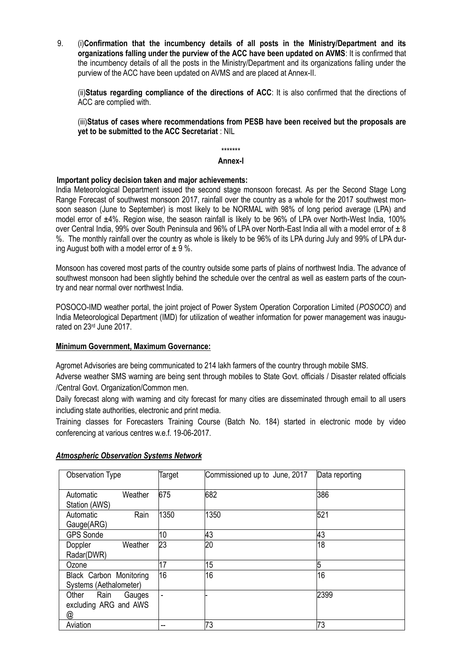9. (i)**Confirmation that the incumbency details of all posts in the Ministry/Department and its organizations falling under the purview of the ACC have been updated on AVMS**: It is confirmed that the incumbency details of all the posts in the Ministry/Department and its organizations falling under the purview of the ACC have been updated on AVMS and are placed at Annex-II.

(ii)**Status regarding compliance of the directions of ACC**: It is also confirmed that the directions of ACC are complied with.

(iii)**Status of cases where recommendations from PESB have been received but the proposals are yet to be submitted to the ACC Secretariat** : NIL

\*\*\*\*\*\*\*

#### **Annex-I**

## **Important policy decision taken and major achievements:**

India Meteorological Department issued the second stage monsoon forecast. As per the Second Stage Long Range Forecast of southwest monsoon 2017, rainfall over the country as a whole for the 2017 southwest monsoon season (June to September) is most likely to be NORMAL with 98% of long period average (LPA) and model error of ±4%. Region wise, the season rainfall is likely to be 96% of LPA over North-West India, 100% over Central India, 99% over South Peninsula and 96% of LPA over North-East India all with a model error of  $\pm 8$ %. The monthly rainfall over the country as whole is likely to be 96% of its LPA during July and 99% of LPA during August both with a model error of  $\pm$  9 %.

Monsoon has covered most parts of the country outside some parts of plains of northwest India. The advance of southwest monsoon had been slightly behind the schedule over the central as well as eastern parts of the country and near normal over northwest India.

POSOCO-IMD weather portal, the joint project of Power System Operation Corporation Limited (*POSOCO*) and India Meteorological Department (IMD) for utilization of weather information for power management was inaugurated on 23rd June 2017.

## **Minimum Government, Maximum Governance:**

Agromet Advisories are being communicated to 214 lakh farmers of the country through mobile SMS.

Adverse weather SMS warning are being sent through mobiles to State Govt. officials / Disaster related officials /Central Govt. Organization/Common men.

Daily forecast along with warning and city forecast for many cities are disseminated through email to all users including state authorities, electronic and print media.

Training classes for Forecasters Training Course (Batch No. 184) started in electronic mode by video conferencing at various centres w.e.f. 19-06-2017.

| Observation Type                                      | Target | Commissioned up to June, 2017 | Data reporting |
|-------------------------------------------------------|--------|-------------------------------|----------------|
| Weather<br>Automatic<br>Station (AWS)                 | 675    | 682                           | 386            |
| Rain<br>Automatic<br>Gauge(ARG)                       | 1350   | 1350                          | 521            |
| <b>GPS Sonde</b>                                      | 10     | 43                            | 43             |
| Doppler<br>Weather<br>Radar(DWR)                      | 23     | 20                            | 18             |
| Ozone                                                 | 17     | 15                            | 5              |
| Black Carbon Monitoring<br>Systems (Aethalometer)     | 16     | 16                            | 16             |
| Other<br>Rain<br>Gauges<br>excluding ARG and AWS<br>@ | ٠      |                               | 2399           |
| Aviation                                              | --     | 73                            | 73             |

## *Atmospheric Observation Systems Network*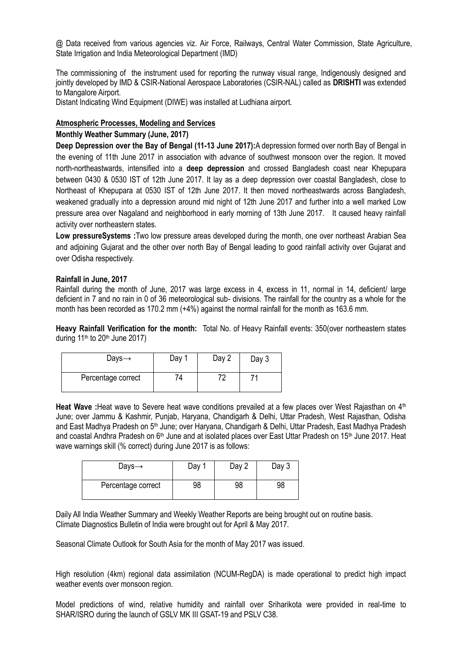@ Data received from various agencies viz. Air Force, Railways, Central Water Commission, State Agriculture, State Irrigation and India Meteorological Department (IMD)

The commissioning of the instrument used for reporting the runway visual range, Indigenously designed and jointly developed by IMD & CSIR-National Aerospace Laboratories (CSIR-NAL) called as **DRISHTI** was extended to Mangalore Airport.

Distant Indicating Wind Equipment (DIWE) was installed at Ludhiana airport.

## **Atmospheric Processes, Modeling and Services**

## **Monthly Weather Summary (June, 2017)**

**Deep Depression over the Bay of Bengal (11-13 June 2017):**A depression formed over north Bay of Bengal in the evening of 11th June 2017 in association with advance of southwest monsoon over the region. It moved north-northeastwards, intensified into a **deep depression** and crossed Bangladesh coast near Khepupara between 0430 & 0530 IST of 12th June 2017. It lay as a deep depression over coastal Bangladesh, close to Northeast of Khepupara at 0530 IST of 12th June 2017. It then moved northeastwards across Bangladesh, weakened gradually into a depression around mid night of 12th June 2017 and further into a well marked Low pressure area over Nagaland and neighborhood in early morning of 13th June 2017. It caused heavy rainfall activity over northeastern states.

**Low pressureSystems :**Two low pressure areas developed during the month, one over northeast Arabian Sea and adjoining Gujarat and the other over north Bay of Bengal leading to good rainfall activity over Gujarat and over Odisha respectively.

### **Rainfall in June, 2017**

Rainfall during the month of June, 2017 was large excess in 4, excess in 11, normal in 14, deficient/ large deficient in 7 and no rain in 0 of 36 meteorological sub- divisions. The rainfall for the country as a whole for the month has been recorded as 170.2 mm (+4%) against the normal rainfall for the month as 163.6 mm.

**Heavy Rainfall Verification for the month:** Total No. of Heavy Rainfall events: 350(over northeastern states during  $11<sup>th</sup>$  to  $20<sup>th</sup>$  June  $2017$ )

| Days $\rightarrow$ | Day 1 | Day 2 | Day 3 |
|--------------------|-------|-------|-------|
| Percentage correct | 74    | 70    |       |

Heat Wave :Heat wave to Severe heat wave conditions prevailed at a few places over West Rajasthan on 4<sup>th</sup> June; over Jammu & Kashmir, Punjab, Haryana, Chandigarh & Delhi, Uttar Pradesh, West Rajasthan, Odisha and East Madhya Pradesh on 5<sup>th</sup> June; over Haryana, Chandigarh & Delhi, Uttar Pradesh, East Madhya Pradesh and coastal Andhra Pradesh on 6<sup>th</sup> June and at isolated places over East Uttar Pradesh on 15<sup>th</sup> June 2017. Heat wave warnings skill (% correct) during June 2017 is as follows:

| Days $\rightarrow$ | Day | Day 2 | Day 3 |
|--------------------|-----|-------|-------|
| Percentage correct | 98  | 98    | 98    |

Daily All India Weather Summary and Weekly Weather Reports are being brought out on routine basis. Climate Diagnostics Bulletin of India were brought out for April & May 2017.

Seasonal Climate Outlook for South Asia for the month of May 2017 was issued.

High resolution (4km) regional data assimilation (NCUM-RegDA) is made operational to predict high impact weather events over monsoon region.

Model predictions of wind, relative humidity and rainfall over Sriharikota were provided in real-time to SHAR/ISRO during the launch of GSLV MK III GSAT-19 and PSLV C38.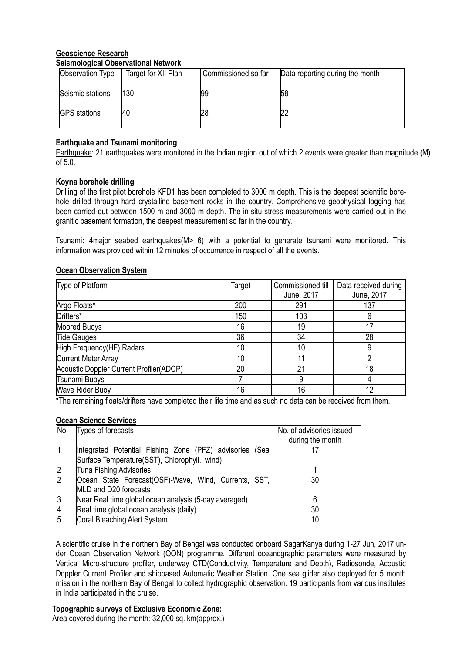### **Geoscience Research Seismological Observational Network**

| Observation Type    | Target for XII Plan | Commissioned so far | Data reporting during the month |
|---------------------|---------------------|---------------------|---------------------------------|
| Seismic stations    | 130                 | 99                  | 58                              |
| <b>GPS</b> stations | 40                  | 28                  |                                 |

# **Earthquake and Tsunami monitoring**

Earthquake: 21 earthquakes were monitored in the Indian region out of which 2 events were greater than magnitude (M) of 5.0.

# **Koyna borehole drilling**

Drilling of the first pilot borehole KFD1 has been completed to 3000 m depth. This is the deepest scientific borehole drilled through hard crystalline basement rocks in the country. Comprehensive geophysical logging has been carried out between 1500 m and 3000 m depth. The in-situ stress measurements were carried out in the granitic basement formation, the deepest measurement so far in the country.

Tsunami**:** 4major seabed earthquakes(M> 6) with a potential to generate tsunami were monitored. This information was provided within 12 minutes of occurrence in respect of all the events.

## **Ocean Observation System**

| Type of Platform                        | Target | Commissioned till<br>June, 2017 | Data received during<br>June, 2017 |
|-----------------------------------------|--------|---------------------------------|------------------------------------|
| Argo Floats <sup>^</sup>                | 200    | 291                             | 137                                |
| Drifters*                               | 150    | 103                             |                                    |
| <b>Moored Buoys</b>                     | 16     | 19                              |                                    |
| <b>Tide Gauges</b>                      | 36     | 34                              | 28                                 |
| High Frequency(HF) Radars               | 10     | 10                              |                                    |
| <b>Current Meter Array</b>              | 10     |                                 |                                    |
| Acoustic Doppler Current Profiler(ADCP) | 20     | 21                              | 18                                 |
| Tsunami Buoys                           |        | 9                               |                                    |
| <b>Wave Rider Buoy</b>                  | 16     | 16                              | 12                                 |

\*The remaining floats/drifters have completed their life time and as such no data can be received from them.

## **Ocean Science Services**

| No             | Types of forecasts                                      | No. of advisories issued |
|----------------|---------------------------------------------------------|--------------------------|
|                |                                                         | during the month         |
|                | Integrated Potential Fishing Zone (PFZ) advisories (Sea |                          |
|                | Surface Temperature(SST), Chlorophyll., wind)           |                          |
| $\overline{2}$ | <b>Tuna Fishing Advisories</b>                          |                          |
| $\overline{2}$ | Ocean State Forecast(OSF)-Wave, Wind, Currents, SST,    | 30                       |
|                | MLD and D20 forecasts                                   |                          |
| 3.             | Near Real time global ocean analysis (5-day averaged)   |                          |
| 4.             | Real time global ocean analysis (daily)                 | 30                       |
| 5.             | Coral Bleaching Alert System                            |                          |

A scientific cruise in the northern Bay of Bengal was conducted onboard SagarKanya during 1-27 Jun, 2017 under Ocean Observation Network (OON) programme. Different oceanographic parameters were measured by Vertical Micro-structure profiler, underway CTD(Conductivity, Temperature and Depth), Radiosonde, Acoustic Doppler Current Profiler and shipbased Automatic Weather Station. One sea glider also deployed for 5 month mission in the northern Bay of Bengal to collect hydrographic observation. 19 participants from various institutes in India participated in the cruise.

## **Topographic surveys of Exclusive Economic Zone:**

Area covered during the month: 32,000 sq. km(approx.)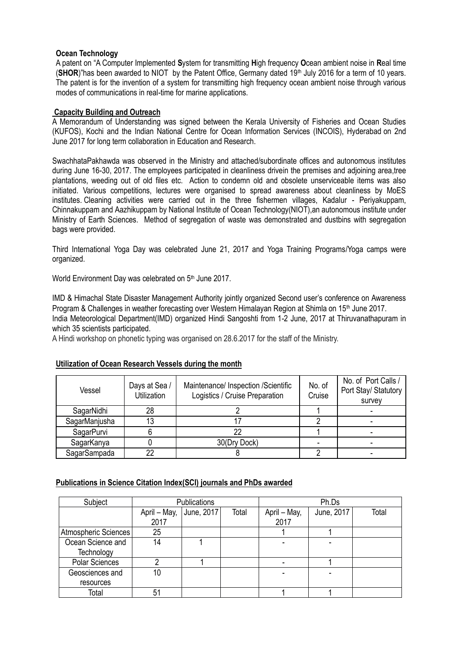## **Ocean Technology**

A patent on "A Computer Implemented **S**ystem for transmitting **H**igh frequency **O**cean ambient noise in **R**eal time (**SHOR**)"has been awarded to NIOT by the Patent Office, Germany dated 19<sup>th</sup> July 2016 for a term of 10 years. The patent is for the invention of a system for transmitting high frequency ocean ambient noise through various modes of communications in real-time for marine applications.

## **Capacity Building and Outreach**

A Memorandum of Understanding was signed between the Kerala University of Fisheries and Ocean Studies (KUFOS), Kochi and the Indian National Centre for Ocean Information Services (INCOIS), Hyderabad on 2nd June 2017 for long term collaboration in Education and Research.

SwachhataPakhawda was observed in the Ministry and attached/subordinate offices and autonomous institutes during June 16-30, 2017. The employees participated in cleanliness drivein the premises and adjoining area,tree plantations, weeding out of old files etc. Action to condemn old and obsolete unserviceable items was also initiated. Various competitions, lectures were organised to spread awareness about cleanliness by MoES institutes. Cleaning activities were carried out in the three fishermen villages, Kadalur - Periyakuppam, Chinnakuppam and Aazhikuppam by National Institute of Ocean Technology(NIOT),an autonomous institute under Ministry of Earth Sciences. Method of segregation of waste was demonstrated and dustbins with segregation bags were provided.

Third International Yoga Day was celebrated June 21, 2017 and Yoga Training Programs/Yoga camps were organized.

World Environment Day was celebrated on 5<sup>th</sup> June 2017.

IMD & Himachal State Disaster Management Authority jointly organized Second user's conference on Awareness Program & Challenges in weather forecasting over Western Himalayan Region at Shimla on 15<sup>th</sup> June 2017. India Meteorological Department(IMD) organized Hindi Sangoshti from 1-2 June, 2017 at Thiruvanathapuram in which 35 scientists participated.

A Hindi workshop on phonetic typing was organised on 28.6.2017 for the staff of the Ministry.

## **Utilization of Ocean Research Vessels during the month**

| Vessel        | Days at Sea /<br>Utilization | No. of<br>Maintenance/ Inspection /Scientific<br>Logistics / Cruise Preparation<br>Cruise |  | No. of Port Calls /<br>Port Stay/ Statutory<br>survey |  |
|---------------|------------------------------|-------------------------------------------------------------------------------------------|--|-------------------------------------------------------|--|
| SagarNidhi    | 28                           |                                                                                           |  |                                                       |  |
| SagarManjusha | 13                           |                                                                                           |  |                                                       |  |
| SagarPurvi    |                              |                                                                                           |  |                                                       |  |
| SagarKanya    |                              | 30(Dry Dock)                                                                              |  | -                                                     |  |
| SagarSampada  | 22                           |                                                                                           |  |                                                       |  |

# **Publications in Science Citation Index(SCI) journals and PhDs awarded**

| Subject               | Publications            |  | Ph.Ds |              |            |       |
|-----------------------|-------------------------|--|-------|--------------|------------|-------|
|                       | April - May, June, 2017 |  | Total | April - May, | June, 2017 | Total |
|                       | 2017                    |  |       | 2017         |            |       |
| Atmospheric Sciences  | 25                      |  |       |              |            |       |
| Ocean Science and     | 14                      |  |       |              |            |       |
| Technology            |                         |  |       |              |            |       |
| <b>Polar Sciences</b> |                         |  |       |              |            |       |
| Geosciences and       | 10                      |  |       |              |            |       |
| resources             |                         |  |       |              |            |       |
| Total                 | 51                      |  |       |              |            |       |